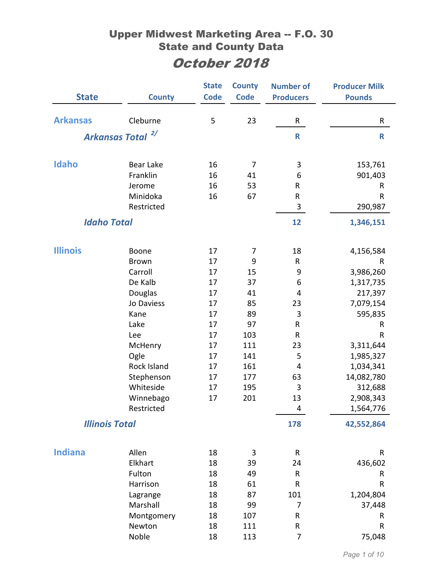| <b>State</b>       | <b>County</b>                | <b>State</b><br><b>Code</b> | <b>County</b><br><b>Code</b> | <b>Number of</b><br><b>Producers</b> | <b>Producer Milk</b><br><b>Pounds</b> |
|--------------------|------------------------------|-----------------------------|------------------------------|--------------------------------------|---------------------------------------|
| <b>Arkansas</b>    | Cleburne                     | 5                           | 23                           | R                                    | R                                     |
|                    | Arkansas Total <sup>2/</sup> |                             |                              | R                                    | $\mathsf{R}$                          |
|                    |                              |                             |                              |                                      |                                       |
| Idaho              | <b>Bear Lake</b>             | 16                          | 7                            | 3                                    | 153,761                               |
|                    | Franklin                     | 16                          | 41                           | 6                                    | 901,403                               |
|                    | Jerome                       | 16                          | 53                           | R                                    | R                                     |
|                    | Minidoka                     | 16                          | 67                           | ${\sf R}$                            | $\mathsf{R}$                          |
|                    | Restricted                   |                             |                              | 3                                    | 290,987                               |
| <b>Idaho Total</b> |                              |                             |                              | 12                                   | 1,346,151                             |
| <b>Illinois</b>    |                              | 17                          |                              |                                      |                                       |
|                    | Boone<br><b>Brown</b>        | 17                          | 7<br>9                       | 18<br>R                              | 4,156,584                             |
|                    | Carroll                      | 17                          | 15                           | 9                                    | R<br>3,986,260                        |
|                    | De Kalb                      | 17                          | 37                           | 6                                    | 1,317,735                             |
|                    | Douglas                      | 17                          | 41                           | 4                                    | 217,397                               |
|                    | Jo Daviess                   | 17                          | 85                           | 23                                   | 7,079,154                             |
|                    | Kane                         | 17                          | 89                           | 3                                    | 595,835                               |
|                    | Lake                         | 17                          | 97                           | R                                    | R                                     |
|                    | Lee                          | 17                          | 103                          | $\sf R$                              | $\mathsf{R}$                          |
|                    | McHenry                      | 17                          | 111                          | 23                                   | 3,311,644                             |
|                    | Ogle                         | 17                          | 141                          | 5                                    | 1,985,327                             |
|                    | Rock Island                  | 17                          | 161                          | $\overline{4}$                       | 1,034,341                             |
|                    | Stephenson                   | 17                          | 177                          | 63                                   | 14,082,780                            |
|                    | Whiteside                    | 17                          | 195                          | 3                                    | 312,688                               |
|                    | Winnebago                    | 17                          | 201                          | 13                                   | 2,908,343                             |
|                    | Restricted                   |                             |                              | 4                                    | 1,564,776                             |
|                    | <b>Illinois Total</b>        |                             |                              | 178                                  | 42,552,864                            |
|                    |                              |                             |                              |                                      |                                       |
| <b>Indiana</b>     | Allen                        | 18                          | 3                            | $\mathsf R$                          | R                                     |
|                    | Elkhart                      | 18                          | 39                           | 24                                   | 436,602                               |
|                    | Fulton                       | 18                          | 49                           | ${\sf R}$                            | R                                     |
|                    | Harrison                     | 18                          | 61                           | R                                    | ${\sf R}$                             |
|                    | Lagrange                     | 18                          | 87                           | 101                                  | 1,204,804                             |
|                    | Marshall                     | 18                          | 99                           | 7                                    | 37,448                                |
|                    | Montgomery                   | 18                          | 107                          | R                                    | R                                     |
|                    | Newton<br>Noble              | 18<br>18                    | 111<br>113                   | ${\sf R}$<br>7                       | ${\sf R}$<br>75,048                   |
|                    |                              |                             |                              |                                      |                                       |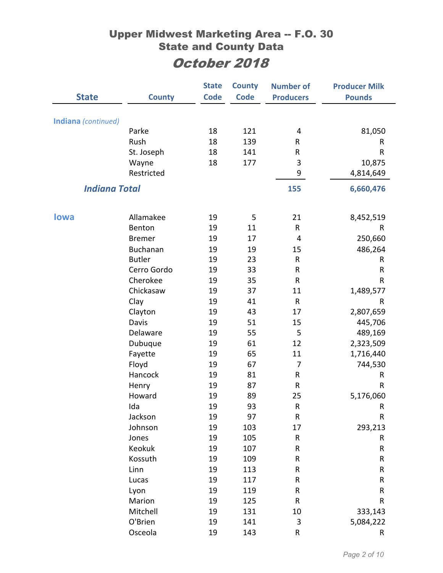|                            |               | <b>State</b> | <b>County</b> | <b>Number of</b> | <b>Producer Milk</b> |
|----------------------------|---------------|--------------|---------------|------------------|----------------------|
| <b>State</b>               | <b>County</b> | <b>Code</b>  | <b>Code</b>   | <b>Producers</b> | <b>Pounds</b>        |
|                            |               |              |               |                  |                      |
| <b>Indiana</b> (continued) | Parke         | 18           | 121           | 4                | 81,050               |
|                            | Rush          | 18           | 139           | R                | R                    |
|                            | St. Joseph    | 18           | 141           | R                | R                    |
|                            | Wayne         | 18           | 177           | 3                | 10,875               |
|                            | Restricted    |              |               | 9                | 4,814,649            |
| <b>Indiana Total</b>       |               |              |               | 155              | 6,660,476            |
|                            |               |              |               |                  |                      |
| <b>lowa</b>                | Allamakee     | 19           | 5             | 21               | 8,452,519            |
|                            | Benton        | 19           | 11            | R                | R                    |
|                            | <b>Bremer</b> | 19           | 17            | 4                | 250,660              |
|                            | Buchanan      | 19           | 19            | 15               | 486,264              |
|                            | <b>Butler</b> | 19           | 23            | $\mathsf{R}$     | R                    |
|                            | Cerro Gordo   | 19           | 33            | ${\sf R}$        | R                    |
|                            | Cherokee      | 19           | 35            | ${\sf R}$        | R                    |
|                            | Chickasaw     | 19           | 37            | 11               | 1,489,577            |
|                            | Clay          | 19           | 41            | $\mathsf{R}$     | R                    |
|                            | Clayton       | 19           | 43            | 17               | 2,807,659            |
|                            | Davis         | 19           | 51            | 15               | 445,706              |
|                            | Delaware      | 19           | 55            | 5                | 489,169              |
|                            | Dubuque       | 19           | 61            | 12               | 2,323,509            |
|                            | Fayette       | 19           | 65            | 11               | 1,716,440            |
|                            | Floyd         | 19           | 67            | $\overline{7}$   | 744,530              |
|                            | Hancock       | 19           | 81            | R                | R                    |
|                            | Henry         | 19           | 87            | R                | R                    |
|                            | Howard        | 19           | 89            | 25               | 5,176,060            |
|                            | Ida           | 19           | 93            | R                | R                    |
|                            | Jackson       | 19           | 97            | ${\sf R}$        | ${\sf R}$            |
|                            | Johnson       | 19           | 103           | 17               | 293,213              |
|                            | Jones         | 19           | 105           | ${\sf R}$        | R                    |
|                            | Keokuk        | 19           | 107           | R                | R                    |
|                            | Kossuth       | 19           | 109           | R                | ${\sf R}$            |
|                            | Linn          | 19           | 113           | ${\sf R}$        | ${\sf R}$            |
|                            | Lucas         | 19           | 117           | R                | ${\sf R}$            |
|                            | Lyon          | 19           | 119           | ${\sf R}$        | ${\sf R}$            |
|                            | Marion        | 19           | 125           | R                | R                    |
|                            | Mitchell      | 19           | 131           | 10               | 333,143              |
|                            | O'Brien       | 19           | 141           | $\mathsf 3$      | 5,084,222            |
|                            | Osceola       | 19           | 143           | R                | R                    |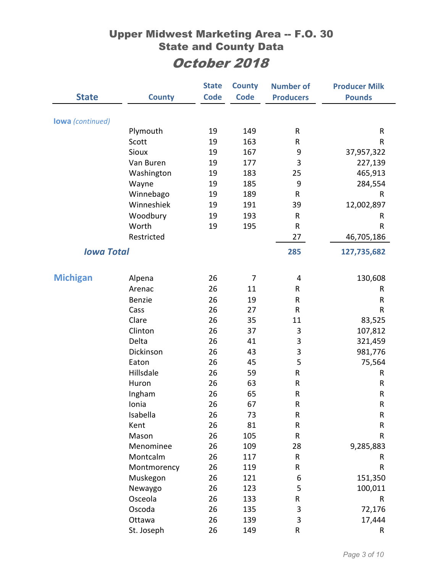|                         |               | <b>State</b> | <b>County</b>  | <b>Number of</b> | <b>Producer Milk</b> |
|-------------------------|---------------|--------------|----------------|------------------|----------------------|
| <b>State</b>            | <b>County</b> | <b>Code</b>  | <b>Code</b>    | <b>Producers</b> | <b>Pounds</b>        |
| <b>lowa</b> (continued) |               |              |                |                  |                      |
|                         | Plymouth      | 19           | 149            | ${\sf R}$        | R                    |
|                         | Scott         | 19           | 163            | R                | R                    |
|                         | Sioux         | 19           | 167            | 9                | 37,957,322           |
|                         | Van Buren     | 19           | 177            | 3                | 227,139              |
|                         | Washington    | 19           | 183            | 25               | 465,913              |
|                         | Wayne         | 19           | 185            | 9                | 284,554              |
|                         | Winnebago     | 19           | 189            | ${\sf R}$        | R                    |
|                         | Winneshiek    | 19           | 191            | 39               | 12,002,897           |
|                         | Woodbury      | 19           | 193            | ${\sf R}$        | R                    |
|                         | Worth         | 19           | 195            | ${\sf R}$        | R                    |
|                         | Restricted    |              |                | 27               | 46,705,186           |
| <b>Iowa Total</b>       |               |              |                | 285              | 127,735,682          |
|                         |               |              |                |                  |                      |
| <b>Michigan</b>         | Alpena        | 26           | $\overline{7}$ | 4                | 130,608              |
|                         | Arenac        | 26           | 11             | R                | R                    |
|                         | <b>Benzie</b> | 26           | 19             | ${\sf R}$        | R                    |
|                         | Cass          | 26           | 27             | ${\sf R}$        | R                    |
|                         | Clare         | 26           | 35             | 11               | 83,525               |
|                         | Clinton       | 26           | 37             | 3                | 107,812              |
|                         | Delta         | 26           | 41             | 3                | 321,459              |
|                         | Dickinson     | 26           | 43             | 3                | 981,776              |
|                         | Eaton         | 26           | 45             | 5                | 75,564               |
|                         | Hillsdale     | 26           | 59             | ${\sf R}$        | R                    |
|                         | Huron         | 26           | 63             | ${\sf R}$        | R                    |
|                         | Ingham        | 26           | 65             | R                | R                    |
|                         | Ionia         | 26           | 67             | R                | R                    |
|                         | Isabella      | 26           | 73             | ${\sf R}$        | R                    |
|                         | Kent          | 26           | 81             | ${\sf R}$        | R                    |
|                         | Mason         | 26           | 105            | R                | R                    |
|                         | Menominee     | 26           | 109            | 28               | 9,285,883            |
|                         | Montcalm      | 26           | 117            | ${\sf R}$        | R                    |
|                         | Montmorency   | 26           | 119            | R                | R                    |
|                         | Muskegon      | 26           | 121            | 6                | 151,350              |
|                         | Newaygo       | 26           | 123            | 5                | 100,011              |
|                         | Osceola       | 26           | 133            | R                | R                    |
|                         | Oscoda        | 26           | 135            | 3                | 72,176               |
|                         | Ottawa        | 26           | 139            | $\mathsf 3$      | 17,444               |
|                         | St. Joseph    | 26           | 149            | ${\sf R}$        | R                    |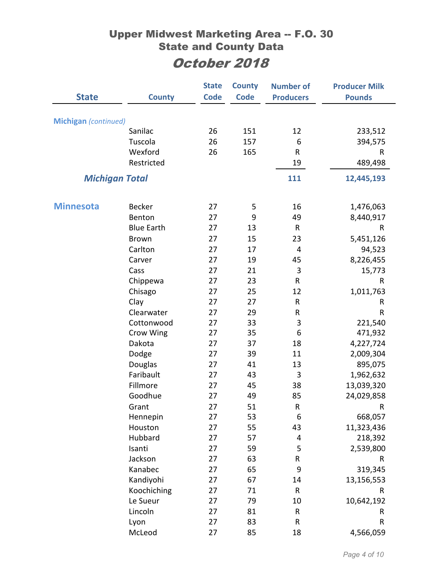|                             |                         | <b>State</b> | <b>County</b> | <b>Number of</b> | <b>Producer Milk</b> |
|-----------------------------|-------------------------|--------------|---------------|------------------|----------------------|
| <b>State</b>                | <b>County</b>           | <b>Code</b>  | <b>Code</b>   | <b>Producers</b> | <b>Pounds</b>        |
|                             |                         |              |               |                  |                      |
| <b>Michigan</b> (continued) |                         |              |               |                  |                      |
|                             | Sanilac                 | 26           | 151           | 12               | 233,512              |
|                             | Tuscola                 | 26           | 157           | 6                | 394,575              |
|                             | Wexford                 | 26           | 165           | $\mathsf{R}$     | R                    |
|                             | Restricted              |              |               | 19               | 489,498              |
| <b>Michigan Total</b>       |                         |              |               | 111              | 12,445,193           |
|                             |                         |              |               |                  |                      |
| <b>Minnesota</b>            | <b>Becker</b>           | 27           |               | 16               | 1,476,063            |
|                             | Benton                  | 27           | 5<br>9        | 49               | 8,440,917            |
|                             | <b>Blue Earth</b>       | 27           | 13            | ${\sf R}$        | R                    |
|                             | <b>Brown</b>            | 27           | 15            | 23               |                      |
|                             | Carlton                 | 27           | 17            | $\overline{4}$   | 5,451,126<br>94,523  |
|                             | Carver                  | 27           | 19            | 45               | 8,226,455            |
|                             | Cass                    | 27           | 21            | 3                |                      |
|                             |                         | 27           | 23            | R                | 15,773<br>R          |
|                             | Chippewa<br>Chisago     | 27           | 25            | 12               | 1,011,763            |
|                             | Clay                    | 27           | 27            | R                | R                    |
|                             | Clearwater              | 27           | 29            | R                | R                    |
|                             |                         |              |               |                  |                      |
|                             | Cottonwood<br>Crow Wing | 27<br>27     | 33<br>35      | 3<br>6           | 221,540<br>471,932   |
|                             | Dakota                  | 27           | 37            | 18               | 4,227,724            |
|                             | Dodge                   | 27           | 39            | 11               | 2,009,304            |
|                             | Douglas                 | 27           | 41            | 13               | 895,075              |
|                             | Faribault               | 27           | 43            | 3                | 1,962,632            |
|                             | Fillmore                | 27           | 45            | 38               | 13,039,320           |
|                             | Goodhue                 | 27           | 49            | 85               | 24,029,858           |
|                             | Grant                   | 27           | 51            |                  | R                    |
|                             | Hennepin                | 27           | 53            | R<br>6           | 668,057              |
|                             | Houston                 | 27           | 55            | 43               | 11,323,436           |
|                             | Hubbard                 | 27           | 57            | 4                | 218,392              |
|                             | Isanti                  | 27           | 59            | 5                | 2,539,800            |
|                             | Jackson                 | 27           | 63            | R                | R                    |
|                             | Kanabec                 | 27           | 65            | 9                | 319,345              |
|                             | Kandiyohi               | 27           | 67            | 14               | 13,156,553           |
|                             | Koochiching             | 27           | 71            | ${\sf R}$        | R                    |
|                             | Le Sueur                | 27           | 79            | 10               | 10,642,192           |
|                             | Lincoln                 | 27           | 81            | ${\sf R}$        | R                    |
|                             | Lyon                    | 27           | 83            | ${\sf R}$        | R                    |
|                             | McLeod                  | 27           | 85            | 18               | 4,566,059            |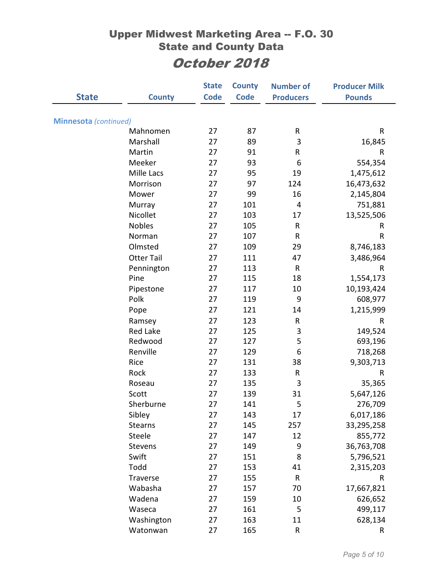| <b>Minnesota</b> (continued)<br>87<br>27<br>${\sf R}$<br>$\mathsf R$<br>Mahnomen<br>3<br>Marshall<br>89<br>16,845<br>27<br>91<br>Martin<br>27<br>R<br>$\mathsf R$<br>Meeker<br>554,354<br>93<br>6<br>27<br>Mille Lacs<br>95<br>27<br>19<br>1,475,612<br>16,473,632<br>Morrison<br>97<br>124<br>27<br>Mower<br>27<br>99<br>16<br>2,145,804<br>101<br>751,881<br>$\overline{4}$<br>Murray<br>27<br>Nicollet<br>103<br>13,525,506<br>27<br>17<br><b>Nobles</b><br>105<br>27<br>${\sf R}$<br>R<br>107<br>${\sf R}$<br>${\sf R}$<br>Norman<br>27<br>Olmsted<br>27<br>109<br>29<br>8,746,183<br>3,486,964<br><b>Otter Tail</b><br>27<br>111<br>47<br>Pennington<br>27<br>113<br>${\sf R}$<br>R<br>Pine<br>27<br>115<br>18<br>1,554,173<br>10,193,424<br>Pipestone<br>117<br>10<br>27<br>Polk<br>9<br>608,977<br>27<br>119<br>121<br>1,215,999<br>27<br>14<br>Pope<br>123<br>Ramsey<br>27<br>${\sf R}$<br>R<br><b>Red Lake</b><br>3<br>149,524<br>27<br>125<br>5<br>Redwood<br>27<br>127<br>693,196<br>Renville<br>129<br>6<br>27<br>718,268<br>9,303,713<br>Rice<br>131<br>38<br>27<br>Rock<br>27<br>133<br>R<br>R<br>3<br>135<br>35,365<br>Roseau<br>27<br>Scott<br>27<br>139<br>31<br>5,647,126<br>27<br>5<br>141<br>276,709<br>Sherburne<br>Sibley<br>17<br>6,017,186<br>27<br>143<br>27<br>145<br>257<br><b>Stearns</b><br>33,295,258<br>855,772<br>Steele<br>147<br>12<br>27<br>Stevens<br>27<br>149<br>9<br>36,763,708<br>Swift<br>8<br>151<br>5,796,521<br>27<br>Todd<br>153<br>41<br>2,315,203<br>27<br>${\sf R}$<br>Traverse<br>27<br>155<br>$\mathsf{R}$<br>17,667,821<br>Wabasha<br>27<br>157<br>70 | <b>State</b> | <b>County</b> | <b>State</b><br><b>Code</b> | <b>County</b><br><b>Code</b> | <b>Number of</b><br><b>Producers</b> | <b>Producer Milk</b><br><b>Pounds</b> |
|----------------------------------------------------------------------------------------------------------------------------------------------------------------------------------------------------------------------------------------------------------------------------------------------------------------------------------------------------------------------------------------------------------------------------------------------------------------------------------------------------------------------------------------------------------------------------------------------------------------------------------------------------------------------------------------------------------------------------------------------------------------------------------------------------------------------------------------------------------------------------------------------------------------------------------------------------------------------------------------------------------------------------------------------------------------------------------------------------------------------------------------------------------------------------------------------------------------------------------------------------------------------------------------------------------------------------------------------------------------------------------------------------------------------------------------------------------------------------------------------------------------------------------------------------------------------------------------------------------|--------------|---------------|-----------------------------|------------------------------|--------------------------------------|---------------------------------------|
|                                                                                                                                                                                                                                                                                                                                                                                                                                                                                                                                                                                                                                                                                                                                                                                                                                                                                                                                                                                                                                                                                                                                                                                                                                                                                                                                                                                                                                                                                                                                                                                                          |              |               |                             |                              |                                      |                                       |
|                                                                                                                                                                                                                                                                                                                                                                                                                                                                                                                                                                                                                                                                                                                                                                                                                                                                                                                                                                                                                                                                                                                                                                                                                                                                                                                                                                                                                                                                                                                                                                                                          |              |               |                             |                              |                                      |                                       |
|                                                                                                                                                                                                                                                                                                                                                                                                                                                                                                                                                                                                                                                                                                                                                                                                                                                                                                                                                                                                                                                                                                                                                                                                                                                                                                                                                                                                                                                                                                                                                                                                          |              |               |                             |                              |                                      |                                       |
|                                                                                                                                                                                                                                                                                                                                                                                                                                                                                                                                                                                                                                                                                                                                                                                                                                                                                                                                                                                                                                                                                                                                                                                                                                                                                                                                                                                                                                                                                                                                                                                                          |              |               |                             |                              |                                      |                                       |
|                                                                                                                                                                                                                                                                                                                                                                                                                                                                                                                                                                                                                                                                                                                                                                                                                                                                                                                                                                                                                                                                                                                                                                                                                                                                                                                                                                                                                                                                                                                                                                                                          |              |               |                             |                              |                                      |                                       |
|                                                                                                                                                                                                                                                                                                                                                                                                                                                                                                                                                                                                                                                                                                                                                                                                                                                                                                                                                                                                                                                                                                                                                                                                                                                                                                                                                                                                                                                                                                                                                                                                          |              |               |                             |                              |                                      |                                       |
|                                                                                                                                                                                                                                                                                                                                                                                                                                                                                                                                                                                                                                                                                                                                                                                                                                                                                                                                                                                                                                                                                                                                                                                                                                                                                                                                                                                                                                                                                                                                                                                                          |              |               |                             |                              |                                      |                                       |
|                                                                                                                                                                                                                                                                                                                                                                                                                                                                                                                                                                                                                                                                                                                                                                                                                                                                                                                                                                                                                                                                                                                                                                                                                                                                                                                                                                                                                                                                                                                                                                                                          |              |               |                             |                              |                                      |                                       |
|                                                                                                                                                                                                                                                                                                                                                                                                                                                                                                                                                                                                                                                                                                                                                                                                                                                                                                                                                                                                                                                                                                                                                                                                                                                                                                                                                                                                                                                                                                                                                                                                          |              |               |                             |                              |                                      |                                       |
|                                                                                                                                                                                                                                                                                                                                                                                                                                                                                                                                                                                                                                                                                                                                                                                                                                                                                                                                                                                                                                                                                                                                                                                                                                                                                                                                                                                                                                                                                                                                                                                                          |              |               |                             |                              |                                      |                                       |
|                                                                                                                                                                                                                                                                                                                                                                                                                                                                                                                                                                                                                                                                                                                                                                                                                                                                                                                                                                                                                                                                                                                                                                                                                                                                                                                                                                                                                                                                                                                                                                                                          |              |               |                             |                              |                                      |                                       |
|                                                                                                                                                                                                                                                                                                                                                                                                                                                                                                                                                                                                                                                                                                                                                                                                                                                                                                                                                                                                                                                                                                                                                                                                                                                                                                                                                                                                                                                                                                                                                                                                          |              |               |                             |                              |                                      |                                       |
|                                                                                                                                                                                                                                                                                                                                                                                                                                                                                                                                                                                                                                                                                                                                                                                                                                                                                                                                                                                                                                                                                                                                                                                                                                                                                                                                                                                                                                                                                                                                                                                                          |              |               |                             |                              |                                      |                                       |
|                                                                                                                                                                                                                                                                                                                                                                                                                                                                                                                                                                                                                                                                                                                                                                                                                                                                                                                                                                                                                                                                                                                                                                                                                                                                                                                                                                                                                                                                                                                                                                                                          |              |               |                             |                              |                                      |                                       |
|                                                                                                                                                                                                                                                                                                                                                                                                                                                                                                                                                                                                                                                                                                                                                                                                                                                                                                                                                                                                                                                                                                                                                                                                                                                                                                                                                                                                                                                                                                                                                                                                          |              |               |                             |                              |                                      |                                       |
|                                                                                                                                                                                                                                                                                                                                                                                                                                                                                                                                                                                                                                                                                                                                                                                                                                                                                                                                                                                                                                                                                                                                                                                                                                                                                                                                                                                                                                                                                                                                                                                                          |              |               |                             |                              |                                      |                                       |
|                                                                                                                                                                                                                                                                                                                                                                                                                                                                                                                                                                                                                                                                                                                                                                                                                                                                                                                                                                                                                                                                                                                                                                                                                                                                                                                                                                                                                                                                                                                                                                                                          |              |               |                             |                              |                                      |                                       |
|                                                                                                                                                                                                                                                                                                                                                                                                                                                                                                                                                                                                                                                                                                                                                                                                                                                                                                                                                                                                                                                                                                                                                                                                                                                                                                                                                                                                                                                                                                                                                                                                          |              |               |                             |                              |                                      |                                       |
|                                                                                                                                                                                                                                                                                                                                                                                                                                                                                                                                                                                                                                                                                                                                                                                                                                                                                                                                                                                                                                                                                                                                                                                                                                                                                                                                                                                                                                                                                                                                                                                                          |              |               |                             |                              |                                      |                                       |
|                                                                                                                                                                                                                                                                                                                                                                                                                                                                                                                                                                                                                                                                                                                                                                                                                                                                                                                                                                                                                                                                                                                                                                                                                                                                                                                                                                                                                                                                                                                                                                                                          |              |               |                             |                              |                                      |                                       |
|                                                                                                                                                                                                                                                                                                                                                                                                                                                                                                                                                                                                                                                                                                                                                                                                                                                                                                                                                                                                                                                                                                                                                                                                                                                                                                                                                                                                                                                                                                                                                                                                          |              |               |                             |                              |                                      |                                       |
|                                                                                                                                                                                                                                                                                                                                                                                                                                                                                                                                                                                                                                                                                                                                                                                                                                                                                                                                                                                                                                                                                                                                                                                                                                                                                                                                                                                                                                                                                                                                                                                                          |              |               |                             |                              |                                      |                                       |
|                                                                                                                                                                                                                                                                                                                                                                                                                                                                                                                                                                                                                                                                                                                                                                                                                                                                                                                                                                                                                                                                                                                                                                                                                                                                                                                                                                                                                                                                                                                                                                                                          |              |               |                             |                              |                                      |                                       |
|                                                                                                                                                                                                                                                                                                                                                                                                                                                                                                                                                                                                                                                                                                                                                                                                                                                                                                                                                                                                                                                                                                                                                                                                                                                                                                                                                                                                                                                                                                                                                                                                          |              |               |                             |                              |                                      |                                       |
|                                                                                                                                                                                                                                                                                                                                                                                                                                                                                                                                                                                                                                                                                                                                                                                                                                                                                                                                                                                                                                                                                                                                                                                                                                                                                                                                                                                                                                                                                                                                                                                                          |              |               |                             |                              |                                      |                                       |
|                                                                                                                                                                                                                                                                                                                                                                                                                                                                                                                                                                                                                                                                                                                                                                                                                                                                                                                                                                                                                                                                                                                                                                                                                                                                                                                                                                                                                                                                                                                                                                                                          |              |               |                             |                              |                                      |                                       |
|                                                                                                                                                                                                                                                                                                                                                                                                                                                                                                                                                                                                                                                                                                                                                                                                                                                                                                                                                                                                                                                                                                                                                                                                                                                                                                                                                                                                                                                                                                                                                                                                          |              |               |                             |                              |                                      |                                       |
|                                                                                                                                                                                                                                                                                                                                                                                                                                                                                                                                                                                                                                                                                                                                                                                                                                                                                                                                                                                                                                                                                                                                                                                                                                                                                                                                                                                                                                                                                                                                                                                                          |              |               |                             |                              |                                      |                                       |
|                                                                                                                                                                                                                                                                                                                                                                                                                                                                                                                                                                                                                                                                                                                                                                                                                                                                                                                                                                                                                                                                                                                                                                                                                                                                                                                                                                                                                                                                                                                                                                                                          |              |               |                             |                              |                                      |                                       |
|                                                                                                                                                                                                                                                                                                                                                                                                                                                                                                                                                                                                                                                                                                                                                                                                                                                                                                                                                                                                                                                                                                                                                                                                                                                                                                                                                                                                                                                                                                                                                                                                          |              |               |                             |                              |                                      |                                       |
|                                                                                                                                                                                                                                                                                                                                                                                                                                                                                                                                                                                                                                                                                                                                                                                                                                                                                                                                                                                                                                                                                                                                                                                                                                                                                                                                                                                                                                                                                                                                                                                                          |              |               |                             |                              |                                      |                                       |
|                                                                                                                                                                                                                                                                                                                                                                                                                                                                                                                                                                                                                                                                                                                                                                                                                                                                                                                                                                                                                                                                                                                                                                                                                                                                                                                                                                                                                                                                                                                                                                                                          |              |               |                             |                              |                                      |                                       |
|                                                                                                                                                                                                                                                                                                                                                                                                                                                                                                                                                                                                                                                                                                                                                                                                                                                                                                                                                                                                                                                                                                                                                                                                                                                                                                                                                                                                                                                                                                                                                                                                          |              |               |                             |                              |                                      |                                       |
|                                                                                                                                                                                                                                                                                                                                                                                                                                                                                                                                                                                                                                                                                                                                                                                                                                                                                                                                                                                                                                                                                                                                                                                                                                                                                                                                                                                                                                                                                                                                                                                                          |              |               |                             |                              |                                      |                                       |
|                                                                                                                                                                                                                                                                                                                                                                                                                                                                                                                                                                                                                                                                                                                                                                                                                                                                                                                                                                                                                                                                                                                                                                                                                                                                                                                                                                                                                                                                                                                                                                                                          |              |               |                             |                              |                                      |                                       |
|                                                                                                                                                                                                                                                                                                                                                                                                                                                                                                                                                                                                                                                                                                                                                                                                                                                                                                                                                                                                                                                                                                                                                                                                                                                                                                                                                                                                                                                                                                                                                                                                          |              |               |                             |                              |                                      |                                       |
|                                                                                                                                                                                                                                                                                                                                                                                                                                                                                                                                                                                                                                                                                                                                                                                                                                                                                                                                                                                                                                                                                                                                                                                                                                                                                                                                                                                                                                                                                                                                                                                                          |              |               |                             |                              |                                      |                                       |
|                                                                                                                                                                                                                                                                                                                                                                                                                                                                                                                                                                                                                                                                                                                                                                                                                                                                                                                                                                                                                                                                                                                                                                                                                                                                                                                                                                                                                                                                                                                                                                                                          |              | Wadena        | 27                          | 159                          | 10                                   | 626,652                               |
| 5<br>499,117<br>Waseca<br>161<br>27                                                                                                                                                                                                                                                                                                                                                                                                                                                                                                                                                                                                                                                                                                                                                                                                                                                                                                                                                                                                                                                                                                                                                                                                                                                                                                                                                                                                                                                                                                                                                                      |              |               |                             |                              |                                      |                                       |
| Washington<br>628,134<br>27<br>163<br>11                                                                                                                                                                                                                                                                                                                                                                                                                                                                                                                                                                                                                                                                                                                                                                                                                                                                                                                                                                                                                                                                                                                                                                                                                                                                                                                                                                                                                                                                                                                                                                 |              |               |                             |                              |                                      |                                       |
| 165<br>${\sf R}$<br>Watonwan<br>27<br>R                                                                                                                                                                                                                                                                                                                                                                                                                                                                                                                                                                                                                                                                                                                                                                                                                                                                                                                                                                                                                                                                                                                                                                                                                                                                                                                                                                                                                                                                                                                                                                  |              |               |                             |                              |                                      |                                       |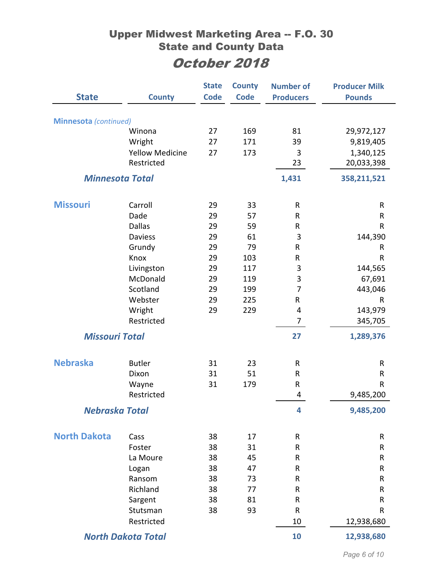| <b>State</b>                 |                        | <b>State</b><br><b>Code</b> | <b>County</b><br><b>Code</b> | <b>Number of</b><br><b>Producers</b> | <b>Producer Milk</b> |
|------------------------------|------------------------|-----------------------------|------------------------------|--------------------------------------|----------------------|
|                              | <b>County</b>          |                             |                              |                                      | <b>Pounds</b>        |
| <b>Minnesota</b> (continued) |                        |                             |                              |                                      |                      |
|                              | Winona                 | 27                          | 169                          | 81                                   | 29,972,127           |
|                              | Wright                 | 27                          | 171                          | 39                                   | 9,819,405            |
|                              | <b>Yellow Medicine</b> | 27                          | 173                          | 3                                    | 1,340,125            |
|                              | Restricted             |                             |                              | 23                                   | 20,033,398           |
| <b>Minnesota Total</b>       |                        |                             |                              | 1,431                                | 358,211,521          |
|                              |                        |                             |                              |                                      |                      |
| <b>Missouri</b>              | Carroll<br>Dade        | 29                          | 33                           | ${\sf R}$                            | R                    |
|                              | <b>Dallas</b>          | 29                          | 57                           | ${\sf R}$                            | R                    |
|                              | <b>Daviess</b>         | 29                          | 59                           | R                                    | $\mathsf{R}$         |
|                              |                        | 29                          | 61                           | 3                                    | 144,390              |
|                              | Grundy                 | 29                          | 79                           | R                                    | R                    |
|                              | Knox                   | 29                          | 103                          | R                                    | $\mathsf{R}$         |
|                              | Livingston             | 29                          | 117                          | 3                                    | 144,565              |
|                              | McDonald               | 29                          | 119                          | 3<br>$\overline{7}$                  | 67,691               |
|                              | Scotland               | 29                          | 199                          |                                      | 443,046              |
|                              | Webster                | 29                          | 225                          | R                                    | $\mathsf{R}$         |
|                              | Wright<br>Restricted   | 29                          | 229                          | 4<br>$\overline{7}$                  | 143,979              |
|                              |                        |                             |                              |                                      | 345,705              |
| <b>Missouri Total</b>        |                        |                             |                              | 27                                   | 1,289,376            |
| <b>Nebraska</b>              | <b>Butler</b>          | 31                          | 23                           | R                                    | R                    |
|                              | Dixon                  | 31                          | 51                           | $\mathsf{R}$                         | R                    |
|                              | Wayne                  | 31                          | 179                          | R                                    | R                    |
|                              | Restricted             |                             |                              | 4                                    | 9,485,200            |
|                              |                        |                             |                              |                                      |                      |
| <b>Nebraska Total</b>        |                        |                             |                              | 4                                    | 9,485,200            |
| <b>North Dakota</b>          | Cass                   | 38                          | 17                           | R                                    | R                    |
|                              | Foster                 | 38                          | 31                           | R                                    | R                    |
|                              | La Moure               | 38                          | 45                           | ${\sf R}$                            | $\mathsf R$          |
|                              | Logan                  | 38                          | 47                           | R                                    | R                    |
|                              | Ransom                 | 38                          | 73                           | R                                    | R                    |
|                              | Richland               | 38                          | 77                           | R                                    | R                    |
|                              | Sargent                | 38                          | 81                           | R                                    | R                    |
|                              | Stutsman               | 38                          | 93                           | $\mathsf{R}$                         | R                    |
|                              | Restricted             |                             |                              | 10                                   | 12,938,680           |
| <b>North Dakota Total</b>    |                        |                             | 10                           | 12,938,680                           |                      |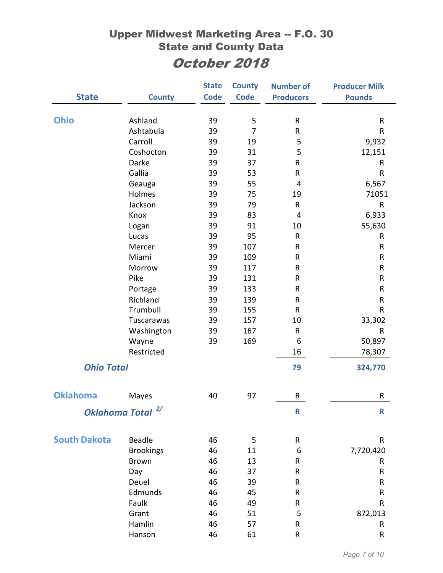|                     |                             | <b>State</b> | <b>County</b>  | <b>Number of</b> | <b>Producer Milk</b> |
|---------------------|-----------------------------|--------------|----------------|------------------|----------------------|
| <b>State</b>        | <b>County</b>               | <b>Code</b>  | <b>Code</b>    | <b>Producers</b> | <b>Pounds</b>        |
|                     |                             |              |                |                  |                      |
| <b>Ohio</b>         | Ashland                     | 39           | 5              | R                | ${\sf R}$            |
|                     | Ashtabula                   | 39           | $\overline{7}$ | ${\sf R}$        | R                    |
|                     | Carroll                     | 39           | 19             | 5                | 9,932                |
|                     | Coshocton                   | 39           | 31             | 5                | 12,151               |
|                     | Darke                       | 39           | 37             | R                | R                    |
|                     | Gallia                      | 39           | 53             | R                | $\sf R$              |
|                     | Geauga                      | 39           | 55             | $\overline{4}$   | 6,567                |
|                     | Holmes                      | 39           | 75             | 19               | 71051                |
|                     | Jackson                     | 39           | 79             | R                | ${\sf R}$            |
|                     | Knox                        | 39           | 83             | 4                | 6,933                |
|                     | Logan                       | 39           | 91             | 10               | 55,630               |
|                     | Lucas                       | 39           | 95             | $\mathsf{R}$     | R                    |
|                     | Mercer                      | 39           | 107            | ${\sf R}$        | R                    |
|                     | Miami                       | 39           | 109            | $\sf R$          | R                    |
|                     | Morrow                      | 39           | 117            | R                | R                    |
|                     | Pike                        | 39           | 131            | ${\sf R}$        | ${\sf R}$            |
|                     | Portage                     | 39           | 133            | ${\sf R}$        | ${\sf R}$            |
|                     | Richland                    | 39           | 139            | ${\sf R}$        | ${\sf R}$            |
|                     | Trumbull                    | 39           | 155            | R                | R                    |
|                     | Tuscarawas                  | 39           | 157            | 10               | 33,302               |
|                     | Washington                  | 39           | 167            | ${\sf R}$        | R                    |
|                     | Wayne                       | 39           | 169            | 6                | 50,897               |
|                     | Restricted                  |              |                | 16               | 78,307               |
| <b>Ohio Total</b>   |                             |              |                | 79               | 324,770              |
|                     |                             |              |                |                  |                      |
| <b>Oklahoma</b>     | Mayes                       | 40           | 97             | R                | R                    |
|                     |                             |              |                |                  |                      |
|                     | 2/<br><b>Oklahoma Total</b> |              |                | $\mathsf R$      | R                    |
| <b>South Dakota</b> | Beadle                      | 46           | 5              | ${\sf R}$        | R                    |
|                     | <b>Brookings</b>            | 46           | 11             | 6                | 7,720,420            |
|                     | <b>Brown</b>                | 46           | 13             | ${\sf R}$        | R                    |
|                     | Day                         | 46           | 37             | R                | R                    |
|                     | Deuel                       | 46           | 39             | ${\sf R}$        | ${\sf R}$            |
|                     | Edmunds                     | 46           | 45             | R                | ${\sf R}$            |
|                     | Faulk                       | 46           | 49             | ${\sf R}$        | R                    |
|                     | Grant                       | 46           | 51             | 5                | 872,013              |
|                     | Hamlin                      | 46           | 57             | R                | R                    |
|                     | Hanson                      | 46           | 61             | ${\sf R}$        | R                    |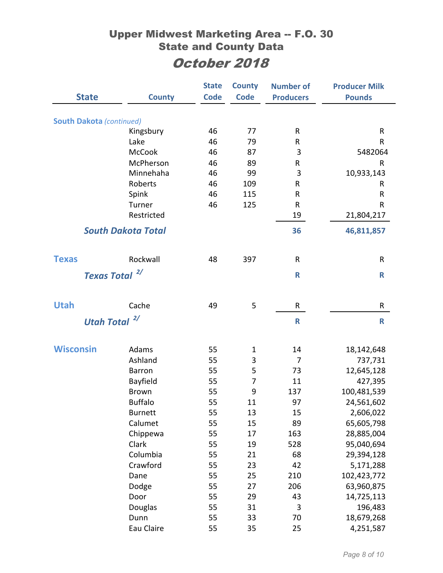| <b>State</b>                    | <b>County</b>             | <b>State</b><br><b>Code</b> | <b>County</b><br><b>Code</b> | <b>Number of</b> | <b>Producer Milk</b> |
|---------------------------------|---------------------------|-----------------------------|------------------------------|------------------|----------------------|
|                                 |                           |                             |                              | <b>Producers</b> | <b>Pounds</b>        |
| <b>South Dakota (continued)</b> |                           |                             |                              |                  |                      |
|                                 | Kingsbury                 | 46                          | 77                           | R                | R                    |
|                                 | Lake                      | 46                          | 79                           | R                | R                    |
|                                 | <b>McCook</b>             | 46                          | 87                           | 3                | 5482064              |
|                                 | McPherson                 | 46                          | 89                           | R                | R                    |
|                                 | Minnehaha                 | 46                          | 99                           | 3                | 10,933,143           |
|                                 | Roberts                   | 46                          | 109                          | ${\sf R}$        | R                    |
|                                 | Spink                     | 46                          | 115                          | R                | R                    |
|                                 | Turner                    | 46                          | 125                          | R                | R                    |
|                                 | Restricted                |                             |                              | 19               | 21,804,217           |
|                                 | <b>South Dakota Total</b> |                             |                              | 36               | 46,811,857           |
| <b>Texas</b>                    | Rockwall                  | 48                          | 397                          | R                | R                    |
|                                 | 2/                        |                             |                              |                  |                      |
| <b>Texas Total</b>              |                           |                             |                              | $\mathsf{R}$     | $\mathsf R$          |
| <b>Utah</b>                     | Cache                     | 49                          | 5                            | R                | R                    |
|                                 | $\frac{2}{\pi}$           |                             |                              | $\mathsf{R}$     |                      |
| <b>Utah Total</b>               |                           |                             |                              |                  | $\mathsf{R}$         |
| <b>Wisconsin</b>                | Adams                     | 55                          | $\mathbf{1}$                 | 14               | 18,142,648           |
|                                 | Ashland                   | 55                          | 3                            | $\overline{7}$   | 737,731              |
|                                 | <b>Barron</b>             | 55                          | 5                            | 73               | 12,645,128           |
|                                 | Bayfield                  | 55                          | $\overline{7}$               | 11               | 427,395              |
|                                 | <b>Brown</b>              | 55                          | 9                            | 137              | 100,481,539          |
|                                 | <b>Buffalo</b>            | 55                          | 11                           | 97               | 24,561,602           |
|                                 | <b>Burnett</b>            | 55                          | 13                           | 15               | 2,606,022            |
|                                 | Calumet                   | 55                          | 15                           | 89               | 65,605,798           |
|                                 | Chippewa                  | 55                          | 17                           | 163              | 28,885,004           |
|                                 | Clark                     | 55                          | 19                           | 528              | 95,040,694           |
|                                 | Columbia                  | 55                          | 21                           | 68               | 29,394,128           |
|                                 | Crawford                  | 55                          | 23                           | 42               | 5,171,288            |
|                                 | Dane                      | 55                          | 25                           | 210              | 102,423,772          |
|                                 | Dodge                     | 55                          | 27                           | 206              | 63,960,875           |
|                                 | Door                      | 55                          | 29                           | 43               | 14,725,113           |
|                                 | Douglas                   | 55                          | 31                           | 3                | 196,483              |
|                                 | Dunn                      | 55                          | 33                           | 70               | 18,679,268           |
|                                 | Eau Claire                | 55                          | 35                           | 25               | 4,251,587            |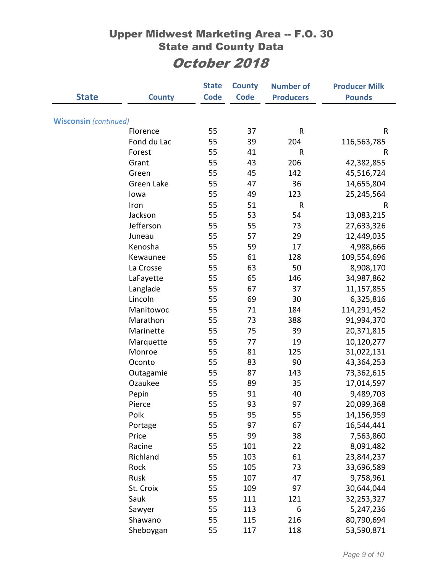|                              |               | <b>State</b> | <b>County</b> | <b>Number of</b> | <b>Producer Milk</b> |
|------------------------------|---------------|--------------|---------------|------------------|----------------------|
| <b>State</b>                 | <b>County</b> | <b>Code</b>  | <b>Code</b>   | <b>Producers</b> | <b>Pounds</b>        |
|                              |               |              |               |                  |                      |
| <b>Wisconsin</b> (continued) |               |              |               |                  |                      |
|                              | Florence      | 55           | 37            | R                | ${\sf R}$            |
|                              | Fond du Lac   | 55           | 39            | 204              | 116,563,785          |
|                              | Forest        | 55           | 41            | $\sf R$          | R                    |
|                              | Grant         | 55           | 43            | 206              | 42,382,855           |
|                              | Green         | 55           | 45            | 142              | 45,516,724           |
|                              | Green Lake    | 55           | 47            | 36               | 14,655,804           |
|                              | lowa          | 55           | 49            | 123              | 25,245,564           |
|                              | Iron          | 55           | 51            | $\mathsf R$      | R                    |
|                              | Jackson       | 55           | 53            | 54               | 13,083,215           |
|                              | Jefferson     | 55           | 55            | 73               | 27,633,326           |
|                              | Juneau        | 55           | 57            | 29               | 12,449,035           |
|                              | Kenosha       | 55           | 59            | 17               | 4,988,666            |
|                              | Kewaunee      | 55           | 61            | 128              | 109,554,696          |
|                              | La Crosse     | 55           | 63            | 50               | 8,908,170            |
|                              | LaFayette     | 55           | 65            | 146              | 34,987,862           |
|                              | Langlade      | 55           | 67            | 37               | 11,157,855           |
|                              | Lincoln       | 55           | 69            | 30               | 6,325,816            |
|                              | Manitowoc     | 55           | 71            | 184              | 114,291,452          |
|                              | Marathon      | 55           | 73            | 388              | 91,994,370           |
|                              | Marinette     | 55           | 75            | 39               | 20,371,815           |
|                              | Marquette     | 55           | 77            | 19               | 10,120,277           |
|                              | Monroe        | 55           | 81            | 125              | 31,022,131           |
|                              | Oconto        | 55           | 83            | 90               | 43,364,253           |
|                              | Outagamie     | 55           | 87            | 143              | 73,362,615           |
|                              | Ozaukee       | 55           | 89            | 35               | 17,014,597           |
|                              | Pepin         | 55           | 91            | 40               | 9,489,703            |
|                              | Pierce        | 55           | 93            | 97               | 20,099,368           |
|                              | Polk          | 55           | 95            | 55               | 14,156,959           |
|                              | Portage       | 55           | 97            | 67               | 16,544,441           |
|                              | Price         | 55           | 99            | 38               | 7,563,860            |
|                              | Racine        | 55           | 101           | 22               | 8,091,482            |
|                              | Richland      | 55           | 103           | 61               | 23,844,237           |
|                              | Rock          | 55           | 105           | 73               | 33,696,589           |
|                              | Rusk          | 55           | 107           | 47               | 9,758,961            |
|                              | St. Croix     | 55           | 109           | 97               | 30,644,044           |
|                              | Sauk          | 55           | 111           | 121              | 32,253,327           |
|                              | Sawyer        | 55           | 113           | 6                | 5,247,236            |
|                              | Shawano       | 55           | 115           | 216              | 80,790,694           |
|                              | Sheboygan     | 55           | 117           | 118              | 53,590,871           |